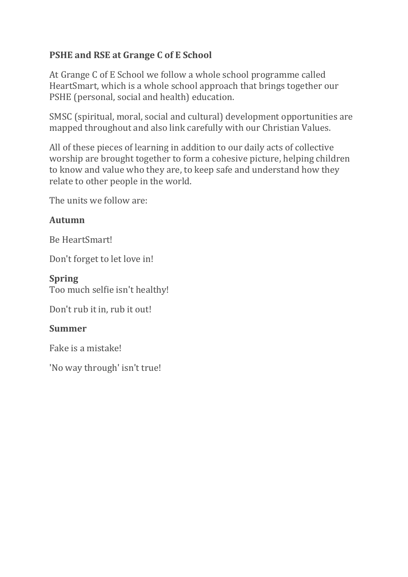# **PSHE and RSE at Grange C of E School**

At Grange C of E School we follow a whole school programme called HeartSmart, which is a whole school approach that brings together our PSHE (personal, social and health) education.

SMSC (spiritual, moral, social and cultural) development opportunities are mapped throughout and also link carefully with our Christian Values.

All of these pieces of learning in addition to our daily acts of collective worship are brought together to form a cohesive picture, helping children to know and value who they are, to keep safe and understand how they relate to other people in the world.

The units we follow are:

## **Autumn**

Be HeartSmart!

Don't forget to let love in!

#### **Spring**

Too much selfie isn't healthy!

Don't rub it in, rub it out!

### **Summer**

Fake is a mistake!

'No way through' isn't true!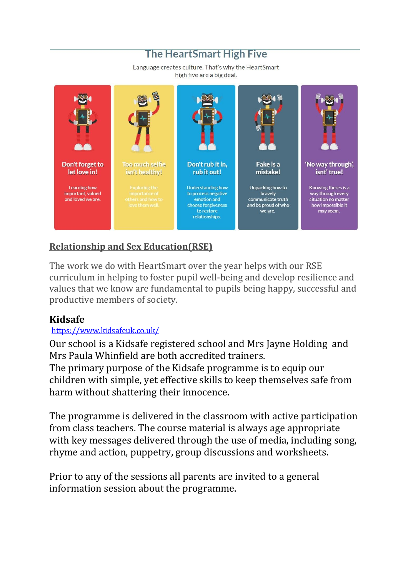# **The HeartSmart High Five**

Language creates culture. That's why the HeartSmart high five are a big deal.



# **Relationship and Sex Education(RSE)**

The work we do with HeartSmart over the year helps with our RSE curriculum in helping to foster pupil well-being and develop resilience and values that we know are fundamental to pupils being happy, successful and productive members of society.

## **Kidsafe**

### <https://www.kidsafeuk.co.uk/>

Our school is a Kidsafe registered school and Mrs Jayne Holding and Mrs Paula Whinfield are both accredited trainers.

The primary purpose of the Kidsafe programme is to equip our children with simple, yet effective skills to keep themselves safe from harm without shattering their innocence.

The programme is delivered in the classroom with active participation from class teachers. The course material is always age appropriate with key messages delivered through the use of media, including song, rhyme and action, puppetry, group discussions and worksheets.

Prior to any of the sessions all parents are invited to a general information session about the programme.